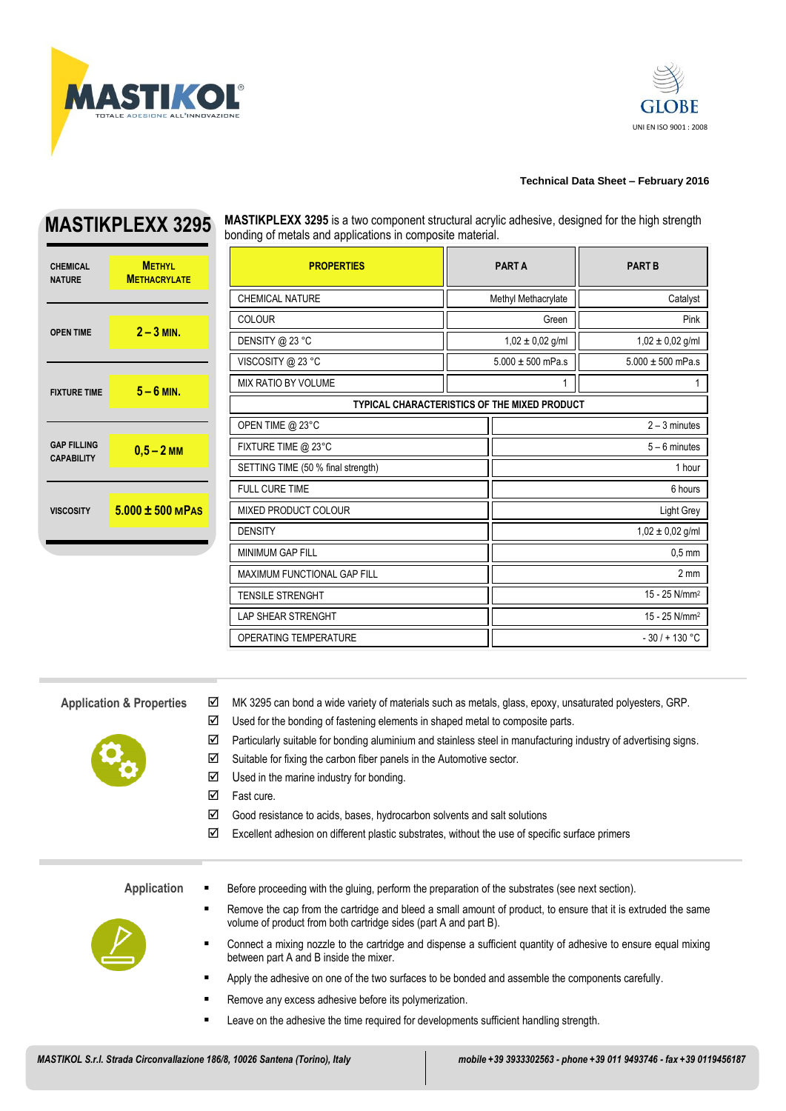



## **Technical Data Sheet – February 2016**

## **CHEMICAL NATURE METHYL METHACRYL 2** – **3 MI FIXTURE TIME 5 – 6 MI**

**MASTIKPLEXX 3295 MASTIKPLEXX 3295** is a two component structural acrylic adhesive, designed for the high strength bonding of metals and applications in composite material.

| <b>ATE</b>  | <b>PROPERTIES</b>                                   |                      | <b>PARTA</b>          | <b>PART B</b>             |  |
|-------------|-----------------------------------------------------|----------------------|-----------------------|---------------------------|--|
|             | CHEMICAL NATURE                                     |                      | Methyl Methacrylate   | Catalyst                  |  |
| ı.          | <b>COLOUR</b>                                       | Green                |                       | Pink                      |  |
|             | DENSITY @ 23 °C                                     | $1,02 \pm 0,02$ g/ml |                       | $1,02 \pm 0,02$ g/ml      |  |
|             | VISCOSITY @ 23 °C                                   |                      | $5.000 \pm 500$ mPa.s | $5.000 \pm 500$ mPa.s     |  |
| ı.          | <b>MIX RATIO BY VOLUME</b>                          |                      | 1                     |                           |  |
|             | <b>TYPICAL CHARACTERISTICS OF THE MIXED PRODUCT</b> |                      |                       |                           |  |
|             | OPEN TIME @ 23°C                                    |                      |                       | $2 - 3$ minutes           |  |
| M           | FIXTURE TIME @ 23°C                                 |                      |                       | $5 - 6$ minutes           |  |
|             | SETTING TIME (50 % final strength)                  |                      | 1 hour                |                           |  |
|             | <b>FULL CURE TIME</b>                               |                      | 6 hours               |                           |  |
| <b>MPAS</b> | <b>MIXED PRODUCT COLOUR</b>                         |                      | Light Grey            |                           |  |
|             | <b>DENSITY</b>                                      |                      |                       | $1,02 \pm 0,02$ g/ml      |  |
|             | <b>MINIMUM GAP FILL</b>                             |                      | $0.5$ mm              |                           |  |
|             | <b>MAXIMUM FUNCTIONAL GAP FILL</b>                  |                      |                       | 2 <sub>mm</sub>           |  |
|             | <b>TENSILE STRENGHT</b>                             |                      |                       | 15 - 25 N/mm <sup>2</sup> |  |
|             | <b>LAP SHEAR STRENGHT</b>                           |                      |                       | 15 - 25 N/mm <sup>2</sup> |  |
|             | <b>OPERATING TEMPERATURE</b>                        |                      |                       | $-30/ + 130 °C$           |  |

**GAP FILLING** 

CAP FILLING<br>
CAPABILITY **0,5 – 2** M

**VISCOSITY 5.000 ± 500** 

- 
- **Application & Properties**  $\boxtimes$  MK 3295 can bond a wide variety of materials such as metals, glass, epoxy, unsaturated polyesters, GRP.
	- $\boxtimes$  Used for the bonding of fastening elements in shaped metal to composite parts.
	- $\boxtimes$  Particularly suitable for bonding aluminium and stainless steel in manufacturing industry of advertising signs.
	- $\boxtimes$  Suitable for fixing the carbon fiber panels in the Automotive sector.
	- $\boxtimes$  Used in the marine industry for bonding.
	- $\boxtimes$  Fast cure.
	- $\boxtimes$  Good resistance to acids, bases, hydrocarbon solvents and salt solutions
	- $\boxtimes$  Excellent adhesion on different plastic substrates, without the use of specific surface primers

**Application ■** Before proceeding with the gluing, perform the preparation of the substrates (see next section).



- Remove the cap from the cartridge and bleed a small amount of product, to ensure that it is extruded the same volume of product from both cartridge sides (part A and part B).
- Connect a mixing nozzle to the cartridge and dispense a sufficient quantity of adhesive to ensure equal mixing between part A and B inside the mixer.
- **Apply the adhesive on one of the two surfaces to be bonded and assemble the components carefully.**
- Remove any excess adhesive before its polymerization.
- **EXECT** Leave on the adhesive the time required for developments sufficient handling strength.